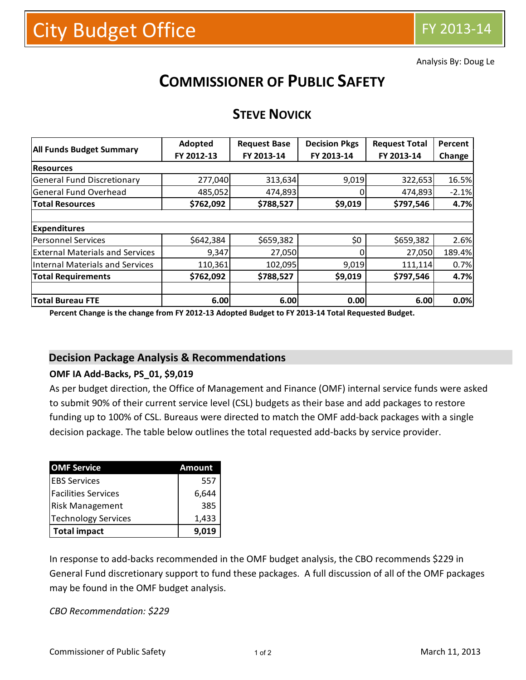Analysis By: Doug Le

# **COMMISSIONER OF PUBLIC SAFETY**

## **STEVE NOVICK**

|                                        | Adopted    | <b>Request Base</b> | <b>Decision Pkgs</b> | <b>Request Total</b> | Percent |  |
|----------------------------------------|------------|---------------------|----------------------|----------------------|---------|--|
| <b>All Funds Budget Summary</b>        | FY 2012-13 | FY 2013-14          | FY 2013-14           | FY 2013-14           | Change  |  |
| <b>Resources</b>                       |            |                     |                      |                      |         |  |
| <b>General Fund Discretionary</b>      | 277,040    | 313,634             | 9,019                | 322,653              | 16.5%   |  |
| General Fund Overhead                  | 485,052    | 474,893             | $\Omega$             | 474,893              | $-2.1%$ |  |
| <b>Total Resources</b>                 | \$762,092  | \$788,527           | \$9,019              | \$797,546            | 4.7%    |  |
|                                        |            |                     |                      |                      |         |  |
| <b>Expenditures</b>                    |            |                     |                      |                      |         |  |
| Personnel Services                     | \$642,384  | \$659,382           | \$0\$                | \$659,382            | 2.6%    |  |
| <b>External Materials and Services</b> | 9,347      | 27,050              | 0                    | 27,050               | 189.4%  |  |
| Internal Materials and Services        | 110,361    | 102,095             | 9,019                | 111,114              | 0.7%    |  |
| <b>Total Requirements</b>              | \$762,092  | \$788,527           | \$9,019              | \$797,546            | 4.7%    |  |
|                                        |            |                     |                      |                      |         |  |
| <b>Total Bureau FTE</b>                | 6.00       | 6.00                | 0.00                 | 6.00                 | 0.0%    |  |

**Percent Change is the change from FY 2012-13 Adopted Budget to FY 2013-14 Total Requested Budget.**

#### **Decision Package Analysis & Recommendations**

#### **OMF IA Add-Backs, PS\_01, \$9,019**

As per budget direction, the Office of Management and Finance (OMF) internal service funds were asked to submit 90% of their current service level (CSL) budgets as their base and add packages to restore funding up to 100% of CSL. Bureaus were directed to match the OMF add-back packages with a single decision package. The table below outlines the total requested add-backs by service provider.

| <b>OMF Service</b>         | Amount |  |  |
|----------------------------|--------|--|--|
| <b>IEBS Services</b>       | 557    |  |  |
| <b>Facilities Services</b> | 6,644  |  |  |
| <b>Risk Management</b>     | 385    |  |  |
| <b>Technology Services</b> | 1,433  |  |  |
| <b>Total impact</b>        | 9.019  |  |  |

In response to add-backs recommended in the OMF budget analysis, the CBO recommends \$229 in General Fund discretionary support to fund these packages. A full discussion of all of the OMF packages may be found in the OMF budget analysis.

*CBO Recommendation: \$229*